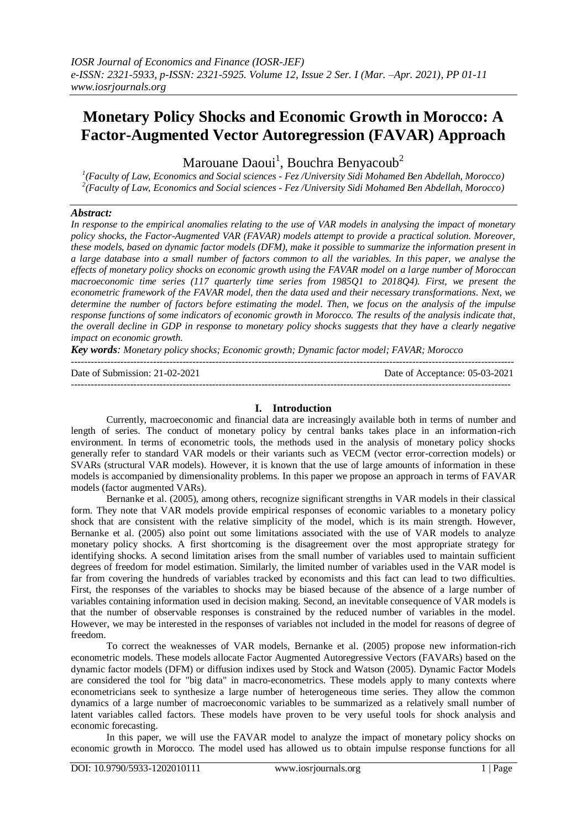# **Monetary Policy Shocks and Economic Growth in Morocco: A Factor-Augmented Vector Autoregression (FAVAR) Approach**

Marouane Daoui<sup>1</sup>, Bouchra Benyacoub<sup>2</sup>

*1 (Faculty of Law, Economics and Social sciences - Fez /University Sidi Mohamed Ben Abdellah, Morocco) 2 (Faculty of Law, Economics and Social sciences - Fez /University Sidi Mohamed Ben Abdellah, Morocco)*

# *Abstract:*

*In response to the empirical anomalies relating to the use of VAR models in analysing the impact of monetary policy shocks, the Factor-Augmented VAR (FAVAR) models attempt to provide a practical solution. Moreover, these models, based on dynamic factor models (DFM), make it possible to summarize the information present in a large database into a small number of factors common to all the variables. In this paper, we analyse the effects of monetary policy shocks on economic growth using the FAVAR model on a large number of Moroccan macroeconomic time series (117 quarterly time series from 1985Q1 to 2018Q4). First, we present the econometric framework of the FAVAR model, then the data used and their necessary transformations. Next, we determine the number of factors before estimating the model. Then, we focus on the analysis of the impulse response functions of some indicators of economic growth in Morocco. The results of the analysis indicate that, the overall decline in GDP in response to monetary policy shocks suggests that they have a clearly negative impact on economic growth.*

*Key words: Monetary policy shocks; Economic growth; Dynamic factor model; FAVAR; Morocco* ---------------------------------------------------------------------------------------------------------------------------------------

Date of Submission: 21-02-2021 Date of Acceptance: 05-03-2021 --------------------------------------------------------------------------------------------------------------------------------------

# **I. Introduction**

Currently, macroeconomic and financial data are increasingly available both in terms of number and length of series. The conduct of monetary policy by central banks takes place in an information-rich environment. In terms of econometric tools, the methods used in the analysis of monetary policy shocks generally refer to standard VAR models or their variants such as VECM (vector error-correction models) or SVARs (structural VAR models). However, it is known that the use of large amounts of information in these models is accompanied by dimensionality problems. In this paper we propose an approach in terms of FAVAR models (factor augmented VARs).

Bernanke et al. (2005), among others, recognize significant strengths in VAR models in their classical form. They note that VAR models provide empirical responses of economic variables to a monetary policy shock that are consistent with the relative simplicity of the model, which is its main strength. However, Bernanke et al. (2005) also point out some limitations associated with the use of VAR models to analyze monetary policy shocks. A first shortcoming is the disagreement over the most appropriate strategy for identifying shocks. A second limitation arises from the small number of variables used to maintain sufficient degrees of freedom for model estimation. Similarly, the limited number of variables used in the VAR model is far from covering the hundreds of variables tracked by economists and this fact can lead to two difficulties. First, the responses of the variables to shocks may be biased because of the absence of a large number of variables containing information used in decision making. Second, an inevitable consequence of VAR models is that the number of observable responses is constrained by the reduced number of variables in the model. However, we may be interested in the responses of variables not included in the model for reasons of degree of freedom.

To correct the weaknesses of VAR models, Bernanke et al. (2005) propose new information-rich econometric models. These models allocate Factor Augmented Autoregressive Vectors (FAVARs) based on the dynamic factor models (DFM) or diffusion indixes used by Stock and Watson (2005). Dynamic Factor Models are considered the tool for "big data" in macro-econometrics. These models apply to many contexts where econometricians seek to synthesize a large number of heterogeneous time series. They allow the common dynamics of a large number of macroeconomic variables to be summarized as a relatively small number of latent variables called factors. These models have proven to be very useful tools for shock analysis and economic forecasting.

In this paper, we will use the FAVAR model to analyze the impact of monetary policy shocks on economic growth in Morocco. The model used has allowed us to obtain impulse response functions for all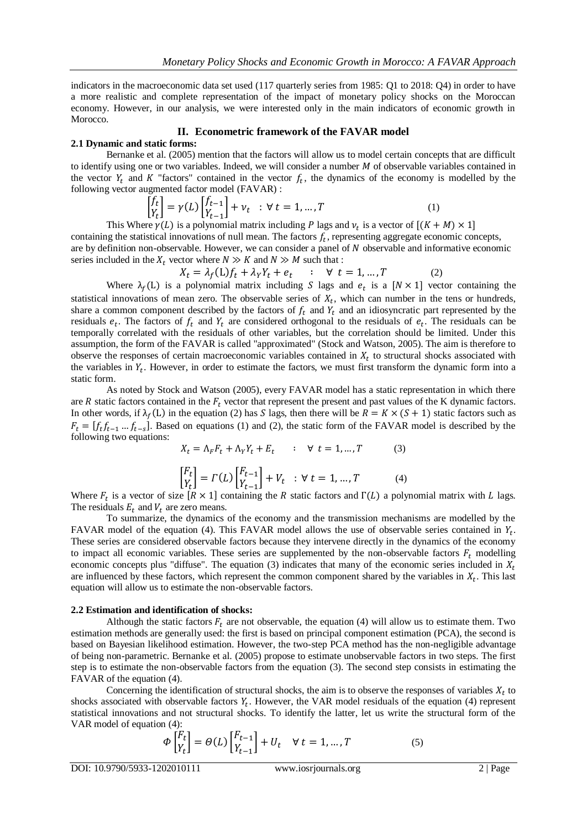indicators in the macroeconomic data set used (117 quarterly series from 1985: Q1 to 2018: Q4) in order to have a more realistic and complete representation of the impact of monetary policy shocks on the Moroccan economy. However, in our analysis, we were interested only in the main indicators of economic growth in Morocco.

#### **II. Econometric framework of the FAVAR model**

#### **2.1 Dynamic and static forms:**

Bernanke et al. (2005) mention that the factors will allow us to model certain concepts that are difficult to identify using one or two variables. Indeed, we will consider a number  $M$  of observable variables contained in the vector  $Y_t$  and K "factors" contained in the vector  $f_t$ , the dynamics of the economy is modelled by the following vector augmented factor model (FAVAR) :

$$
\begin{bmatrix} f_t \\ Y_t \end{bmatrix} = \gamma(L) \begin{bmatrix} f_{t-1} \\ Y_{t-1} \end{bmatrix} + \nu_t \quad : \forall \ t = 1, \dots, T \tag{1}
$$

This Where  $\gamma(L)$  is a polynomial matrix including P lags and  $\nu_t$  is a vector of containing the statistical innovations of null mean. The factors  $f_t$ , representing aggregate economic concepts, are by definition non-observable. However, we can consider a panel of  $N$  observable and informative economic series included in the  $X_t$  vector where  $N \gg K$  and  $N \gg M$  such that :

$$
X_t = \lambda_f(L)f_t + \lambda_Y Y_t + e_t \qquad ; \quad \forall \ t = 1, ..., T \tag{2}
$$

Where  $\lambda_f(L)$  is a polynomial matrix including S lags and  $e_t$  is a  $[N \times 1]$  vector containing the statistical innovations of mean zero. The observable series of  $X_t$ , which can number in the tens or hundreds, share a common component described by the factors of  $f_t$  and  $Y_t$  and an idiosyncratic part represented by the residuals  $e_t$ . The factors of  $f_t$  and  $Y_t$  are considered orthogonal to the residuals of  $e_t$ . The residuals can be temporally correlated with the residuals of other variables, but the correlation should be limited. Under this assumption, the form of the FAVAR is called "approximated" (Stock and Watson, 2005). The aim is therefore to observe the responses of certain macroeconomic variables contained in  $X_t$  to structural shocks associated with the variables in  $Y_t$ . However, in order to estimate the factors, we must first transform the dynamic form into a static form.

As noted by Stock and Watson (2005), every FAVAR model has a static representation in which there are  $R$  static factors contained in the  $F_t$  vector that represent the present and past values of the K dynamic factors. In other words, if  $\lambda_f(L)$  in the equation (2) has S lags, then there will be  $R = K \times (S + 1)$  static factors such as  $F_t = [f_t f_{t-1} ... f_{t-s}]$ . Based on equations (1) and (2), the static form of the FAVAR model is described by the following two equations:

$$
X_t = \Lambda_F F_t + \Lambda_Y Y_t + E_t \qquad : \quad \forall \ t = 1, ..., T \tag{3}
$$

$$
\begin{bmatrix} F_t \\ Y_t \end{bmatrix} = \Gamma(L) \begin{bmatrix} F_{t-1} \\ Y_{t-1} \end{bmatrix} + V_t \quad : \forall \ t = 1, \dots, T \tag{4}
$$

Where  $F_t$  is a vector of size  $[R \times 1]$  containing the R static factors and  $\Gamma(L)$  a polynomial matrix with L lags. The residuals  $E_t$  and  $V_t$  are zero means.

To summarize, the dynamics of the economy and the transmission mechanisms are modelled by the FAVAR model of the equation (4). This FAVAR model allows the use of observable series contained in  $Y_t$ . These series are considered observable factors because they intervene directly in the dynamics of the economy to impact all economic variables. These series are supplemented by the non-observable factors  $F_t$  modelling economic concepts plus "diffuse". The equation (3) indicates that many of the economic series included in  $X_t$ are influenced by these factors, which represent the common component shared by the variables in  $X_t$ . This last equation will allow us to estimate the non-observable factors.

#### **2.2 Estimation and identification of shocks:**

Although the static factors  $F_t$  are not observable, the equation (4) will allow us to estimate them. Two estimation methods are generally used: the first is based on principal component estimation (PCA), the second is based on Bayesian likelihood estimation. However, the two-step PCA method has the non-negligible advantage of being non-parametric. Bernanke et al. (2005) propose to estimate unobservable factors in two steps. The first step is to estimate the non-observable factors from the equation (3). The second step consists in estimating the FAVAR of the equation (4).

Concerning the identification of structural shocks, the aim is to observe the responses of variables  $X_t$  to shocks associated with observable factors  $Y_t$ . However, the VAR model residuals of the equation (4) represent statistical innovations and not structural shocks. To identify the latter, let us write the structural form of the VAR model of equation (4):

$$
\Phi\begin{bmatrix} F_t \\ Y_t \end{bmatrix} = \Theta(L) \begin{bmatrix} F_{t-1} \\ Y_{t-1} \end{bmatrix} + U_t \quad \forall \ t = 1, \dots, T
$$
\n(5)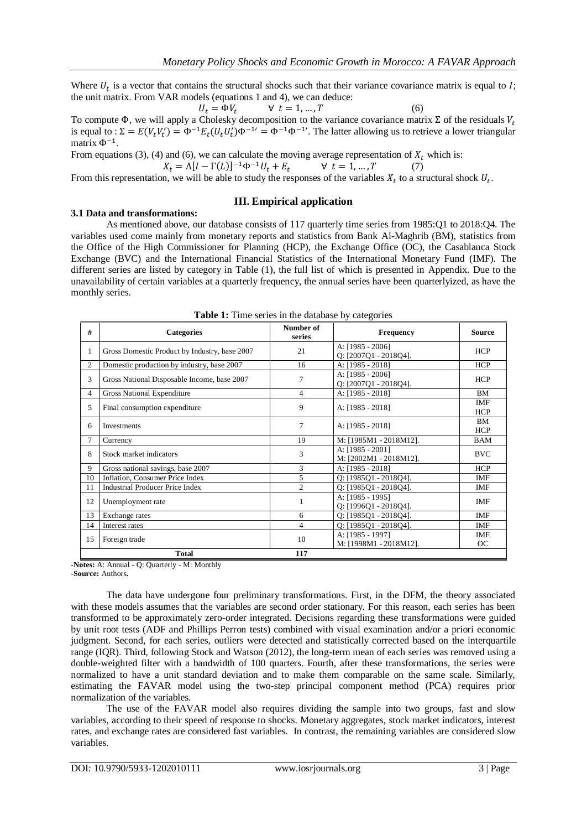Where  $U_t$  is a vector that contains the structural shocks such that their variance covariance matrix is equal to I; the unit matrix. From VAR models (equations 1 and 4), we can deduce:

$$
U_t = \Phi V_t \qquad \forall \ t = 1, ..., T \tag{6}
$$

To compute  $\Phi$ , we will apply a Cholesky decomposition to the variance covariance matrix  $\Sigma$  of the residuals  $V_t$ is equal to :  $\Sigma = E(V_t V_t') = \Phi^{-1} E_t (U_t U_t') \Phi^{-1} = \Phi^{-1} \Phi^{-1}$ . The latter allowing us to retrieve a lower triangular matrix  $\Phi^{-1}$ .

From equations (3), (4) and (6), we can calculate the moving average representation of  $X_t$  which is:  $X_t = \Lambda[I - \Gamma(L)]^{-1} \Phi^{-1} U_t + E_t$  $\forall t = 1, ..., T$  (7)

From this representation, we will be able to study the responses of the variables  $X_t$  to a structural shock  $U_t$ .

## **III. Empirical application**

## **3.1 Data and transformations:**

As mentioned above, our database consists of 117 quarterly time series from 1985:Q1 to 2018:Q4. The variables used come mainly from monetary reports and statistics from Bank Al-Maghrib (BM), statistics from the Office of the High Commissioner for Planning (HCP), the Exchange Office (OC), the Casablanca Stock Exchange (BVC) and the International Financial Statistics of the International Monetary Fund (IMF). The different series are listed by category in Table (1), the full list of which is presented in Appendix. Due to the unavailability of certain variables at a quarterly frequency, the annual series have been quarterlyized, as have the monthly series.

| #              | <b>Categories</b>                             | Number of<br>series | <b>Frequency</b>                             | <b>Source</b>           |
|----------------|-----------------------------------------------|---------------------|----------------------------------------------|-------------------------|
| $\mathbf{1}$   | Gross Domestic Product by Industry, base 2007 | 21                  | A: [1985 - 2006]<br>$Q: [2007Q1 - 2018Q4]$ . | <b>HCP</b>              |
| 2              | Domestic production by industry, base 2007    | 16                  | A: [1985 - 2018]                             | <b>HCP</b>              |
| 3              | Gross National Disposable Income, base 2007   | 7                   | A: [1985 - 2006]<br>Q: [2007Q1 - 2018Q4].    | <b>HCP</b>              |
| $\overline{4}$ | Gross National Expenditure                    | $\overline{4}$      | A: [1985 - 2018]                             | <b>BM</b>               |
| 5              | Final consumption expenditure                 | 9                   | A: [1985 - 2018]                             | IMF<br><b>HCP</b>       |
| 6              | Investments                                   | $\tau$              | A: [1985 - 2018]                             | <b>BM</b><br><b>HCP</b> |
| 7              | Currency                                      | 19                  | M: [1985M1 - 2018M12].                       | BAM                     |
| 8              | Stock market indicators                       | 3                   | A: [1985 - 2001]<br>M: [2002M1 - 2018M12].   | <b>BVC</b>              |
| 9              | Gross national savings, base 2007             | 3                   | A: [1985 - 2018]                             | <b>HCP</b>              |
| 10             | Inflation, Consumer Price Index               | 5                   | 0: [198501 - 201804].                        | IMF                     |
| 11             | <b>Industrial Producer Price Index</b>        | 2                   | $Q: [1985Q1 - 2018Q4]$ .                     | IMF                     |
| 12             | Unemployment rate                             | 1                   | A: [1985 - 1995]<br>$Q: [1996Q1 - 2018Q4]$ . | <b>IMF</b>              |
| 13             | Exchange rates                                | 6                   | $Q: [1985Q1 - 2018Q4]$ .                     | <b>IMF</b>              |
| 14             | Interest rates                                | 4                   | $Q: [1985Q1 - 2018Q4]$ .                     | IMF                     |
| 15             | Foreign trade                                 | 10                  | A: [1985 - 1997]<br>M: [1998M1 - 2018M12].   | IMF<br>OC               |
|                | <b>Total</b>                                  | 117                 |                                              |                         |

**Table 1:** Time series in the database by categories

**-Notes:** A: Annual - Q: Quarterly - M: Monthly

**-Source:** Authors**.**

The data have undergone four preliminary transformations. First, in the DFM, the theory associated with these models assumes that the variables are second order stationary. For this reason, each series has been transformed to be approximately zero-order integrated. Decisions regarding these transformations were guided by unit root tests (ADF and Phillips Perron tests) combined with visual examination and/or a priori economic judgment. Second, for each series, outliers were detected and statistically corrected based on the interquartile range (IQR). Third, following Stock and Watson (2012), the long-term mean of each series was removed using a double-weighted filter with a bandwidth of 100 quarters. Fourth, after these transformations, the series were normalized to have a unit standard deviation and to make them comparable on the same scale. Similarly, estimating the FAVAR model using the two-step principal component method (PCA) requires prior normalization of the variables.

The use of the FAVAR model also requires dividing the sample into two groups, fast and slow variables, according to their speed of response to shocks. Monetary aggregates, stock market indicators, interest rates, and exchange rates are considered fast variables. In contrast, the remaining variables are considered slow variables.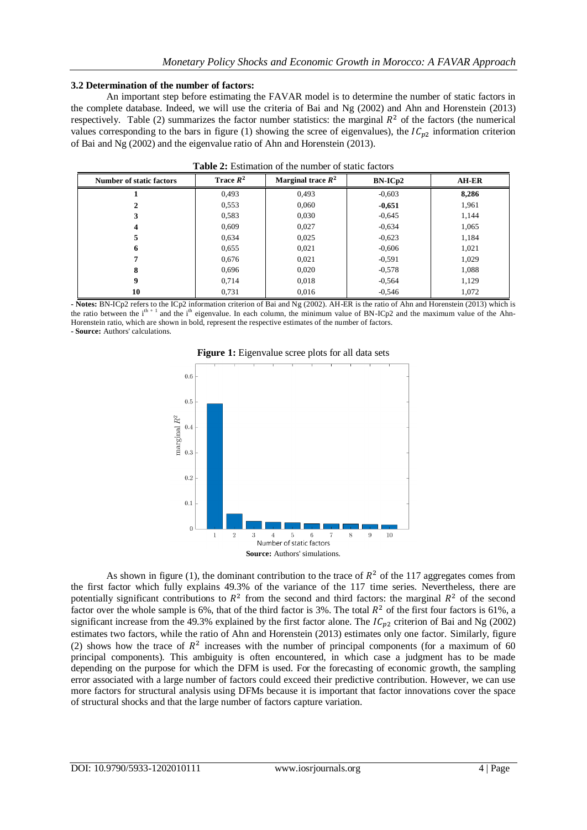#### **3.2 Determination of the number of factors:**

An important step before estimating the FAVAR model is to determine the number of static factors in the complete database. Indeed, we will use the criteria of Bai and Ng (2002) and Ahn and Horenstein (2013) respectively. Table (2) summarizes the factor number statistics: the marginal  $R^2$  of the factors (the numerical values corresponding to the bars in figure (1) showing the scree of eigenvalues), the  $IC_{p2}$  information criterion of Bai and Ng (2002) and the eigenvalue ratio of Ahn and Horenstein (2013).

| <b>Number of static factors</b> | Trace $R^2$ | Marginal trace $R^2$ | $BN-ICp2$ | <b>AH-ER</b> |
|---------------------------------|-------------|----------------------|-----------|--------------|
|                                 | 0,493       | 0.493                | $-0.603$  | 8,286        |
|                                 | 0,553       | 0,060                | $-0,651$  | 1,961        |
| 3                               | 0,583       | 0,030                | $-0.645$  | 1,144        |
| 4                               | 0,609       | 0,027                | $-0.634$  | 1,065        |
| 5                               | 0,634       | 0,025                | $-0.623$  | 1,184        |
| 6                               | 0,655       | 0,021                | $-0.606$  | 1,021        |
| 7                               | 0,676       | 0,021                | $-0.591$  | 1,029        |
| 8                               | 0,696       | 0,020                | $-0.578$  | 1,088        |
| 9                               | 0,714       | 0,018                | $-0.564$  | 1,129        |
| 10                              | 0,731       | 0,016                | $-0,546$  | 1,072        |

|  | <b>Table 2:</b> Estimation of the number of static factors |  |  |  |  |  |
|--|------------------------------------------------------------|--|--|--|--|--|
|--|------------------------------------------------------------|--|--|--|--|--|

**- Notes:** BN-ICp2 refers to the ICp2 information criterion of Bai and Ng (2002). AH-ER is the ratio of Ahn and Horenstein (2013) which is the ratio between the  $i<sup>th + 1</sup>$  and the  $i<sup>th</sup>$  eigenvalue. In each column, the minimum value of BN-ICp2 and the maximum value of the Ahn-Horenstein ratio, which are shown in bold, represent the respective estimates of the number of factors. **- Source:** Authors' calculations.





As shown in figure (1), the dominant contribution to the trace of  $R^2$  of the 117 aggregates comes from the first factor which fully explains 49.3% of the variance of the 117 time series. Nevertheless, there are potentially significant contributions to  $R^2$  from the second and third factors: the marginal  $R^2$  of the second factor over the whole sample is 6%, that of the third factor is 3%. The total  $R^2$  of the first four factors is 61%, a significant increase from the 49.3% explained by the first factor alone. The  $IC_{n2}$  criterion of Bai and Ng (2002) estimates two factors, while the ratio of Ahn and Horenstein (2013) estimates only one factor. Similarly, figure (2) shows how the trace of  $R^2$  increases with the number of principal components (for a maximum of 60 principal components). This ambiguity is often encountered, in which case a judgment has to be made depending on the purpose for which the DFM is used. For the forecasting of economic growth, the sampling error associated with a large number of factors could exceed their predictive contribution. However, we can use more factors for structural analysis using DFMs because it is important that factor innovations cover the space of structural shocks and that the large number of factors capture variation.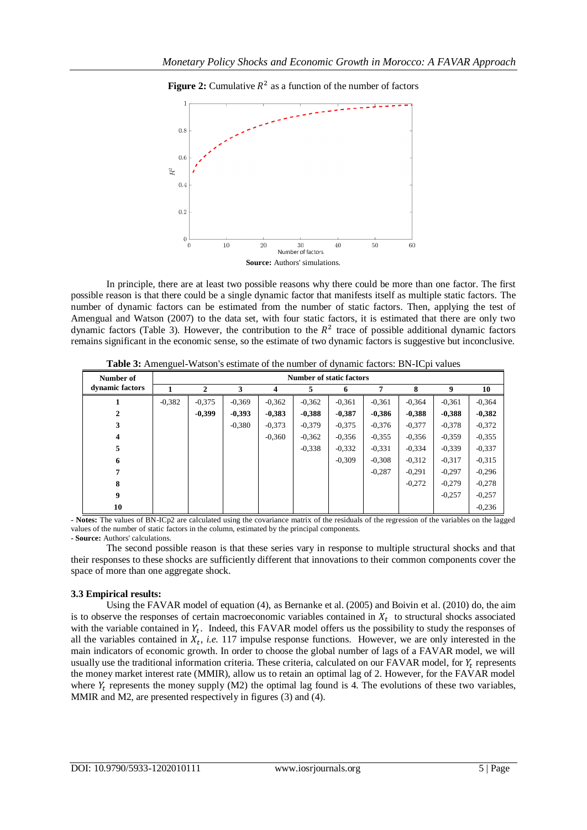

**Figure 2:** Cumulative  $R^2$  as a function of the number of factors

In principle, there are at least two possible reasons why there could be more than one factor. The first possible reason is that there could be a single dynamic factor that manifests itself as multiple static factors. The number of dynamic factors can be estimated from the number of static factors. Then, applying the test of Amengual and Watson (2007) to the data set, with four static factors, it is estimated that there are only two dynamic factors (Table 3). However, the contribution to the  $R^2$  trace of possible additional dynamic factors remains significant in the economic sense, so the estimate of two dynamic factors is suggestive but inconclusive.

| Table 3: Amenguel-Watson's estimate of the number of dynamic factors: BN-ICpi values |  |
|--------------------------------------------------------------------------------------|--|
|                                                                                      |  |

| Number of       | <b>Number of static factors</b> |          |          |          |          |          |          |          |          |          |
|-----------------|---------------------------------|----------|----------|----------|----------|----------|----------|----------|----------|----------|
| dynamic factors |                                 | 2        | 3        | 4        | 5        | 6        | 7        | 8        | 9        | 10       |
|                 | $-0,382$                        | $-0.375$ | $-0,369$ | $-0,362$ | $-0,362$ | $-0.361$ | $-0,361$ | $-0,364$ | $-0.361$ | $-0,364$ |
| $\mathbf{2}$    |                                 | $-0.399$ | $-0,393$ | $-0,383$ | $-0,388$ | $-0,387$ | $-0.386$ | $-0,388$ | $-0,388$ | $-0,382$ |
| 3               |                                 |          | $-0,380$ | $-0,373$ | $-0,379$ | $-0,375$ | $-0,376$ | $-0.377$ | $-0.378$ | $-0,372$ |
| 4               |                                 |          |          | $-0.360$ | $-0,362$ | $-0.356$ | $-0.355$ | $-0,356$ | $-0.359$ | $-0,355$ |
| 5               |                                 |          |          |          | $-0,338$ | $-0.332$ | $-0.331$ | $-0,334$ | $-0.339$ | $-0,337$ |
| 6               |                                 |          |          |          |          | $-0.309$ | $-0.308$ | $-0.312$ | $-0.317$ | $-0.315$ |
| 7               |                                 |          |          |          |          |          | $-0,287$ | $-0.291$ | $-0.297$ | $-0,296$ |
| 8               |                                 |          |          |          |          |          |          | $-0,272$ | $-0,279$ | $-0,278$ |
| 9               |                                 |          |          |          |          |          |          |          | $-0.257$ | $-0,257$ |
| 10              |                                 |          |          |          |          |          |          |          |          | $-0.236$ |

**- Notes:** The values of BN-ICp2 are calculated using the covariance matrix of the residuals of the regression of the variables on the lagged values of the number of static factors in the column, estimated by the principal components.

**- Source:** Authors' calculations.

The second possible reason is that these series vary in response to multiple structural shocks and that their responses to these shocks are sufficiently different that innovations to their common components cover the space of more than one aggregate shock.

## **3.3 Empirical results:**

Using the FAVAR model of equation (4), as Bernanke et al. (2005) and Boivin et al. (2010) do, the aim is to observe the responses of certain macroeconomic variables contained in  $X_t$  to structural shocks associated with the variable contained in  $Y_t$ . Indeed, this FAVAR model offers us the possibility to study the responses of all the variables contained in  $X_t$ , *i.e.* 117 impulse response functions. However, we are only interested in the main indicators of economic growth. In order to choose the global number of lags of a FAVAR model, we will usually use the traditional information criteria. These criteria, calculated on our FAVAR model, for  $Y_t$  represents the money market interest rate (MMIR), allow us to retain an optimal lag of 2. However, for the FAVAR model where  $Y_t$  represents the money supply (M2) the optimal lag found is 4. The evolutions of these two variables, MMIR and M2, are presented respectively in figures (3) and (4).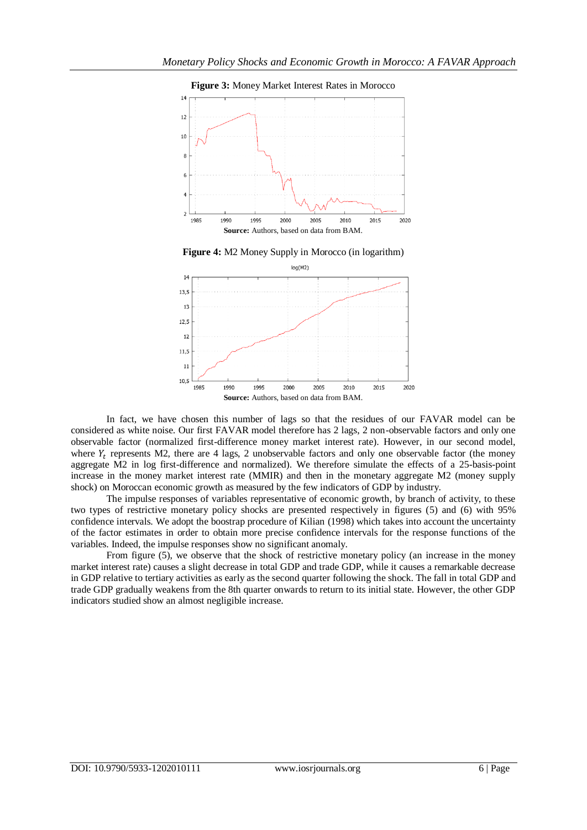

**Figure 4:** M2 Money Supply in Morocco (in logarithm)



In fact, we have chosen this number of lags so that the residues of our FAVAR model can be considered as white noise. Our first FAVAR model therefore has 2 lags, 2 non-observable factors and only one observable factor (normalized first-difference money market interest rate). However, in our second model, where  $Y_t$  represents M2, there are 4 lags, 2 unobservable factors and only one observable factor (the money aggregate M2 in log first-difference and normalized). We therefore simulate the effects of a 25-basis-point increase in the money market interest rate (MMIR) and then in the monetary aggregate M2 (money supply shock) on Moroccan economic growth as measured by the few indicators of GDP by industry.

The impulse responses of variables representative of economic growth, by branch of activity, to these two types of restrictive monetary policy shocks are presented respectively in figures (5) and (6) with 95% confidence intervals. We adopt the boostrap procedure of Kilian (1998) which takes into account the uncertainty of the factor estimates in order to obtain more precise confidence intervals for the response functions of the variables. Indeed, the impulse responses show no significant anomaly.

From figure (5), we observe that the shock of restrictive monetary policy (an increase in the money market interest rate) causes a slight decrease in total GDP and trade GDP, while it causes a remarkable decrease in GDP relative to tertiary activities as early as the second quarter following the shock. The fall in total GDP and trade GDP gradually weakens from the 8th quarter onwards to return to its initial state. However, the other GDP indicators studied show an almost negligible increase.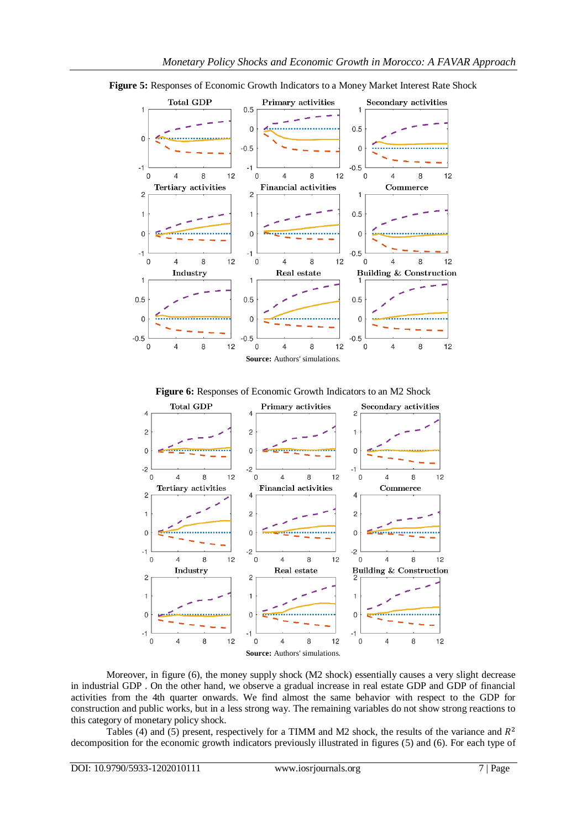

**Figure 5:** Responses of Economic Growth Indicators to a Money Market Interest Rate Shock

**Figure 6:** Responses of Economic Growth Indicators to an M2 Shock



Moreover, in figure (6), the money supply shock (M2 shock) essentially causes a very slight decrease in industrial GDP . On the other hand, we observe a gradual increase in real estate GDP and GDP of financial activities from the 4th quarter onwards. We find almost the same behavior with respect to the GDP for construction and public works, but in a less strong way. The remaining variables do not show strong reactions to this category of monetary policy shock.

Tables (4) and (5) present, respectively for a TIMM and M2 shock, the results of the variance and  $R^2$ decomposition for the economic growth indicators previously illustrated in figures (5) and (6). For each type of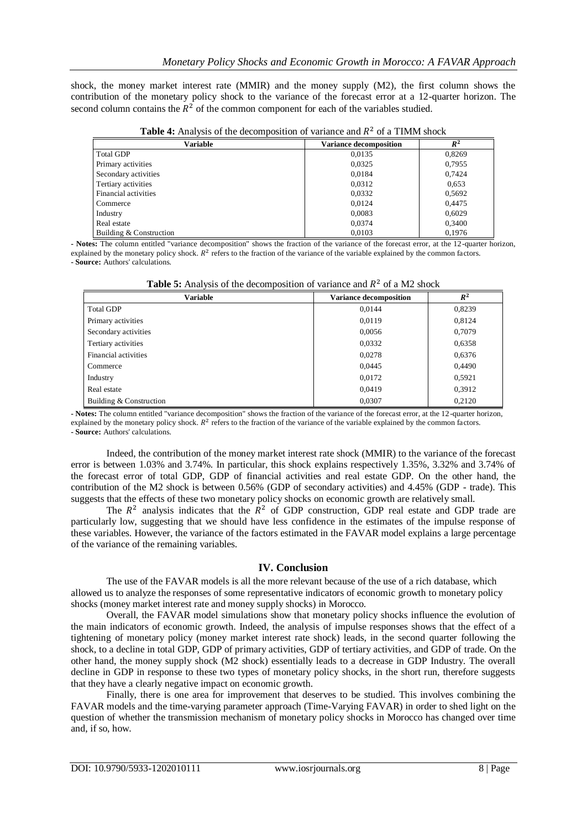shock, the money market interest rate (MMIR) and the money supply (M2), the first column shows the contribution of the monetary policy shock to the variance of the forecast error at a 12-quarter horizon. The second column contains the  $R^2$  of the common component for each of the variables studied.

| <b>THUIL TO</b> THE POIS OF THE GECOMBOSHION OF VALIATICE AND IT OF A THOMAS SHOCK |                               |        |
|------------------------------------------------------------------------------------|-------------------------------|--------|
| Variable                                                                           | <b>Variance decomposition</b> | $R^2$  |
| Total GDP                                                                          | 0,0135                        | 0,8269 |
| Primary activities                                                                 | 0,0325                        | 0,7955 |
| Secondary activities                                                               | 0,0184                        | 0,7424 |
| Tertiary activities                                                                | 0.0312                        | 0,653  |
| Financial activities                                                               | 0,0332                        | 0,5692 |
| Commerce                                                                           | 0,0124                        | 0.4475 |
| Industry                                                                           | 0,0083                        | 0.6029 |
| Real estate                                                                        | 0.0374                        | 0,3400 |
| Building & Construction                                                            | 0.0103                        | 0.1976 |

**Table 4:** Analysis of the decomposition of variance and  $R^2$  of a TIMM shock

**- Notes:** The column entitled "variance decomposition" shows the fraction of the variance of the forecast error, at the 12-quarter horizon, explained by the monetary policy shock.  $R^2$  refers to the fraction of the variance of the variable explained by the common factors. **- Source:** Authors' calculations.

|--|

| Variable                | <b>Variance decomposition</b> | $R^2$  |
|-------------------------|-------------------------------|--------|
| <b>Total GDP</b>        | 0,0144                        | 0,8239 |
| Primary activities      | 0.0119                        | 0,8124 |
| Secondary activities    | 0,0056                        | 0,7079 |
| Tertiary activities     | 0,0332                        | 0,6358 |
| Financial activities    | 0,0278                        | 0,6376 |
| Commerce                | 0,0445                        | 0.4490 |
| Industry                | 0,0172                        | 0,5921 |
| Real estate             | 0.0419                        | 0,3912 |
| Building & Construction | 0.0307                        | 0.2120 |

**- Notes:** The column entitled "variance decomposition" shows the fraction of the variance of the forecast error, at the 12-quarter horizon, explained by the monetary policy shock.  $R^2$  refers to the fraction of the variance of the variable explained by the common factors. **- Source:** Authors' calculations.

Indeed, the contribution of the money market interest rate shock (MMIR) to the variance of the forecast error is between 1.03% and 3.74%. In particular, this shock explains respectively 1.35%, 3.32% and 3.74% of the forecast error of total GDP, GDP of financial activities and real estate GDP. On the other hand, the contribution of the M2 shock is between 0.56% (GDP of secondary activities) and 4.45% (GDP - trade). This suggests that the effects of these two monetary policy shocks on economic growth are relatively small.

The  $R^2$  analysis indicates that the  $R^2$  of GDP construction, GDP real estate and GDP trade are particularly low, suggesting that we should have less confidence in the estimates of the impulse response of these variables. However, the variance of the factors estimated in the FAVAR model explains a large percentage of the variance of the remaining variables.

## **IV. Conclusion**

The use of the FAVAR models is all the more relevant because of the use of a rich database, which allowed us to analyze the responses of some representative indicators of economic growth to monetary policy shocks (money market interest rate and money supply shocks) in Morocco.

Overall, the FAVAR model simulations show that monetary policy shocks influence the evolution of the main indicators of economic growth. Indeed, the analysis of impulse responses shows that the effect of a tightening of monetary policy (money market interest rate shock) leads, in the second quarter following the shock, to a decline in total GDP, GDP of primary activities, GDP of tertiary activities, and GDP of trade. On the other hand, the money supply shock (M2 shock) essentially leads to a decrease in GDP Industry. The overall decline in GDP in response to these two types of monetary policy shocks, in the short run, therefore suggests that they have a clearly negative impact on economic growth.

Finally, there is one area for improvement that deserves to be studied. This involves combining the FAVAR models and the time-varying parameter approach (Time-Varying FAVAR) in order to shed light on the question of whether the transmission mechanism of monetary policy shocks in Morocco has changed over time and, if so, how.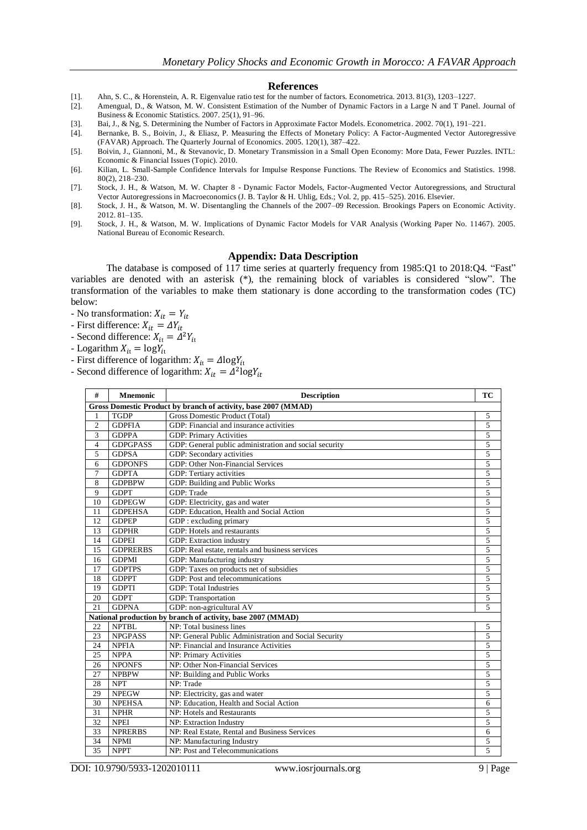#### **References**

- [1]. Ahn, S. C., & Horenstein, A. R. Eigenvalue ratio test for the number of factors. Econometrica. 2013. 81(3), 1203–1227.
- [2]. Amengual, D., & Watson, M. W. Consistent Estimation of the Number of Dynamic Factors in a Large N and T Panel. Journal of Business & Economic Statistics. 2007. 25(1), 91–96.
- [3]. Bai, J., & Ng, S. Determining the Number of Factors in Approximate Factor Models. Econometrica. 2002. 70(1), 191–221.
- [4]. Bernanke, B. S., Boivin, J., & Eliasz, P. Measuring the Effects of Monetary Policy: A Factor-Augmented Vector Autoregressive (FAVAR) Approach. The Quarterly Journal of Economics. 2005. 120(1), 387–422.
- [5]. Boivin, J., Giannoni, M., & Stevanovic, D. Monetary Transmission in a Small Open Economy: More Data, Fewer Puzzles. INTL: Economic & Financial Issues (Topic). 2010.
- [6]. Kilian, L. Small-Sample Confidence Intervals for Impulse Response Functions. The Review of Economics and Statistics. 1998. 80(2), 218–230.
- [7]. Stock, J. H., & Watson, M. W. Chapter 8 Dynamic Factor Models, Factor-Augmented Vector Autoregressions, and Structural Vector Autoregressions in Macroeconomics (J. B. Taylor & H. Uhlig, Eds.; Vol. 2, pp. 415–525). 2016. Elsevier.
- [8]. Stock, J. H., & Watson, M. W. Disentangling the Channels of the 2007–09 Recession. Brookings Papers on Economic Activity. 2012. 81–135.
- [9]. Stock, J. H., & Watson, M. W. Implications of Dynamic Factor Models for VAR Analysis (Working Paper No. 11467). 2005. National Bureau of Economic Research.

#### **Appendix: Data Description**

The database is composed of 117 time series at quarterly frequency from 1985:Q1 to 2018:Q4. "Fast" variables are denoted with an asterisk (\*), the remaining block of variables is considered "slow". The transformation of the variables to make them stationary is done according to the transformation codes (TC) below:

- No transformation:  $X_{it} = Y_{it}$
- First difference:  $X_{it} = \Delta Y_{it}$
- Second difference:  $X_{it} = \Delta^2$
- Logarithm  $X_{it} = \log Y_{it}$
- First difference of logarithm:  $X_{it} = \Delta \log Y_{it}$
- Second difference of logarithm:  $X_{it} = \Delta^2$ l

| #              | <b>Mnemonic</b>                                                | <b>Description</b>                                          | TC             |  |  |  |  |
|----------------|----------------------------------------------------------------|-------------------------------------------------------------|----------------|--|--|--|--|
|                | Gross Domestic Product by branch of activity, base 2007 (MMAD) |                                                             |                |  |  |  |  |
| 1              | <b>TGDP</b>                                                    | Gross Domestic Product (Total)                              | 5              |  |  |  |  |
| $\overline{2}$ | <b>GDPFIA</b>                                                  | GDP: Financial and insurance activities                     | 5              |  |  |  |  |
| 3              | <b>GDPPA</b>                                                   | GDP: Primary Activities                                     | 5              |  |  |  |  |
| $\overline{4}$ | <b>GDPGPASS</b>                                                | GDP: General public administration and social security      | 5              |  |  |  |  |
| 5              | <b>GDPSA</b>                                                   | GDP: Secondary activities                                   | 5              |  |  |  |  |
| 6              | <b>GDPONFS</b>                                                 | GDP: Other Non-Financial Services                           | 5              |  |  |  |  |
| $\overline{7}$ | <b>GDPTA</b>                                                   | GDP: Tertiary activities                                    | 5              |  |  |  |  |
| 8              | <b>GDPBPW</b>                                                  | GDP: Building and Public Works                              | 5              |  |  |  |  |
| 9              | <b>GDPT</b>                                                    | GDP: Trade                                                  | 5              |  |  |  |  |
| 10             | <b>GDPEGW</b>                                                  | GDP: Electricity, gas and water                             | 5              |  |  |  |  |
| 11             | <b>GDPEHSA</b>                                                 | GDP: Education, Health and Social Action                    | 5              |  |  |  |  |
| 12             | <b>GDPEP</b>                                                   | GDP : excluding primary                                     | 5              |  |  |  |  |
| 13             | <b>GDPHR</b>                                                   | GDP: Hotels and restaurants                                 | 5              |  |  |  |  |
| 14             | <b>GDPEI</b>                                                   | GDP: Extraction industry                                    | 5              |  |  |  |  |
| 15             | <b>GDPRERBS</b>                                                | GDP: Real estate, rentals and business services             | 5              |  |  |  |  |
| 16             | <b>GDPMI</b>                                                   | GDP: Manufacturing industry                                 | 5              |  |  |  |  |
| 17             | <b>GDPTPS</b>                                                  | GDP: Taxes on products net of subsidies                     | 5              |  |  |  |  |
| 18             | <b>GDPPT</b>                                                   | GDP: Post and telecommunications                            | 5              |  |  |  |  |
| 19             | <b>GDPTI</b>                                                   | <b>GDP: Total Industries</b>                                | 5              |  |  |  |  |
| 20             | <b>GDPT</b>                                                    | GDP: Transportation                                         | 5              |  |  |  |  |
| 21             | <b>GDPNA</b>                                                   | GDP: non-agricultural AV                                    | $\overline{5}$ |  |  |  |  |
|                |                                                                | National production by branch of activity, base 2007 (MMAD) |                |  |  |  |  |
| 22             | <b>NPTBL</b>                                                   | NP: Total business lines                                    | 5              |  |  |  |  |
| 23             | <b>NPGPASS</b>                                                 | NP: General Public Administration and Social Security       | 5              |  |  |  |  |
| 24             | <b>NPFIA</b>                                                   | NP: Financial and Insurance Activities                      | 5              |  |  |  |  |
| 25             | <b>NPPA</b>                                                    | NP: Primary Activities                                      | 5              |  |  |  |  |
| 26             | <b>NPONFS</b>                                                  | NP: Other Non-Financial Services                            | 5              |  |  |  |  |
| 27             | <b>NPBPW</b>                                                   | NP: Building and Public Works                               | 5              |  |  |  |  |
| 28             | <b>NPT</b>                                                     | NP: Trade                                                   | 5              |  |  |  |  |
| 29             | <b>NPEGW</b>                                                   | NP: Electricity, gas and water                              | 5              |  |  |  |  |
| 30             | <b>NPEHSA</b>                                                  | NP: Education, Health and Social Action                     | 6              |  |  |  |  |
| 31             | <b>NPHR</b>                                                    | NP: Hotels and Restaurants                                  | 5              |  |  |  |  |
| 32             | <b>NPEI</b>                                                    | NP: Extraction Industry                                     | 5              |  |  |  |  |
| 33             | <b>NPRERBS</b>                                                 | NP: Real Estate, Rental and Business Services               | 6              |  |  |  |  |
| 34             | <b>NPMI</b>                                                    | NP: Manufacturing Industry                                  | 5              |  |  |  |  |
| 35             | <b>NPPT</b>                                                    | NP: Post and Telecommunications                             | $\overline{5}$ |  |  |  |  |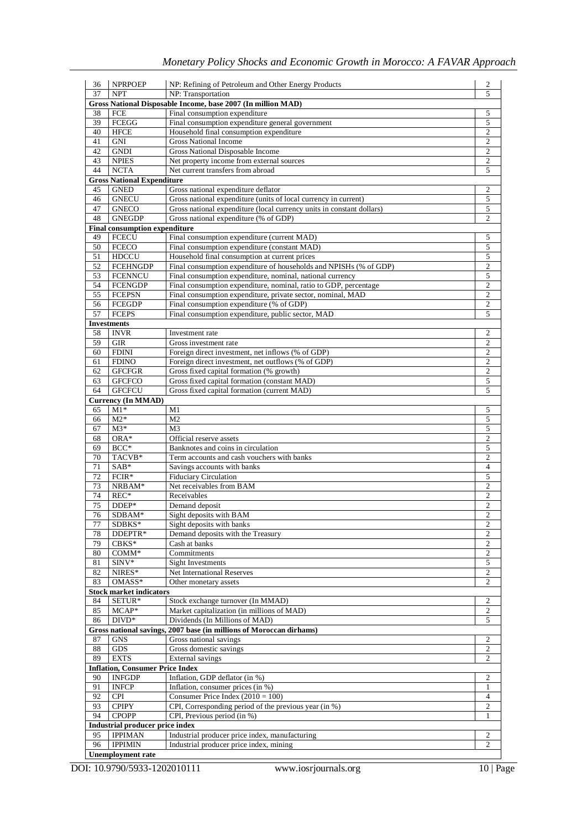| 36       | <b>NPRPOEP</b>                                   | NP: Refining of Petroleum and Other Energy Products                   | $\overline{2}$ |
|----------|--------------------------------------------------|-----------------------------------------------------------------------|----------------|
| 37       | <b>NPT</b>                                       | NP: Transportation                                                    | 5              |
|          |                                                  | Gross National Disposable Income, base 2007 (In million MAD)          |                |
| 38       | FCE                                              | Final consumption expenditure                                         | 5              |
| 39       | FCEGG                                            | Final consumption expenditure general government                      | 5              |
| 40       | <b>HFCE</b>                                      | Household final consumption expenditure                               | 2              |
| 41       | <b>GNI</b>                                       | <b>Gross National Income</b>                                          | $\overline{c}$ |
| 42       | <b>GNDI</b>                                      | Gross National Disposable Income                                      | $\overline{c}$ |
| 43<br>44 | <b>NPIES</b>                                     | Net property income from external sources                             | 2<br>5         |
|          | <b>NCTA</b>                                      | Net current transfers from abroad                                     |                |
| 45       | <b>Gross National Expenditure</b><br><b>GNED</b> | Gross national expenditure deflator                                   | 2              |
| 46       | <b>GNECU</b>                                     | Gross national expenditure (units of local currency in current)       | 5              |
| 47       | <b>GNECO</b>                                     | Gross national expenditure (local currency units in constant dollars) | 5              |
| 48       | <b>GNEGDP</b>                                    | Gross national expenditure (% of GDP)                                 | 2              |
|          | <b>Final consumption expenditure</b>             |                                                                       |                |
| 49       | <b>FCECU</b>                                     | Final consumption expenditure (current MAD)                           | 5              |
| 50       | <b>FCECO</b>                                     | Final consumption expenditure (constant MAD)                          | 5              |
| 51       | <b>HDCCU</b>                                     | Household final consumption at current prices                         | 5              |
| 52       | <b>FCEHNGDP</b>                                  | Final consumption expenditure of households and NPISHs (% of GDP)     | $\overline{c}$ |
| 53       | <b>FCENNCU</b>                                   | Final consumption expenditure, nominal, national currency             | 5              |
| 54       | <b>FCENGDP</b>                                   | Final consumption expenditure, nominal, ratio to GDP, percentage      | $\overline{c}$ |
| 55       | <b>FCEPSN</b>                                    | Final consumption expenditure, private sector, nominal, MAD           | $\overline{c}$ |
| 56       | FCEGDP                                           | Final consumption expenditure (% of GDP)                              | $\overline{2}$ |
| 57       | <b>FCEPS</b>                                     | Final consumption expenditure, public sector, MAD                     | 5              |
|          | <b>Investments</b>                               |                                                                       |                |
| 58       | <b>INVR</b>                                      | Investment rate                                                       | 2              |
| 59       | <b>GIR</b>                                       | Gross investment rate                                                 | $\overline{2}$ |
| 60       | <b>FDINI</b>                                     | Foreign direct investment, net inflows (% of GDP)                     | 2              |
| 61       | <b>FDINO</b>                                     | Foreign direct investment, net outflows (% of GDP)                    | 2              |
| 62       | <b>GFCFGR</b>                                    | Gross fixed capital formation (% growth)                              | $\overline{2}$ |
| 63       | <b>GFCFCO</b>                                    | Gross fixed capital formation (constant MAD)                          | 5              |
| 64       | <b>GFCFCU</b>                                    | Gross fixed capital formation (current MAD)                           | 5              |
|          | <b>Currency (In MMAD)</b>                        |                                                                       |                |
| 65       | $M1*$                                            | M1                                                                    | 5              |
| 66       | $M2*$                                            | M <sub>2</sub>                                                        | 5              |
| 67       | $M3*$                                            | M <sub>3</sub>                                                        | 5              |
| 68       | $ORA*$                                           | Official reserve assets                                               | 2              |
| 69       | $BCC*$                                           | Banknotes and coins in circulation                                    | 5              |
| 70       | TACVB*                                           | Term accounts and cash vouchers with banks                            | 2              |
| 71       | $SAB*$                                           | Savings accounts with banks                                           | $\overline{4}$ |
| 72       | FCIR*                                            | <b>Fiduciary Circulation</b>                                          | 5              |
| 73       | NRBAM*                                           | Net receivables from BAM                                              | 2              |
| 74       | $REC*$                                           | Receivables                                                           | 2              |
| 75       | DDEP*                                            | Demand deposit                                                        | 2              |
| 76       | SDBAM*                                           | Sight deposits with BAM                                               | $\overline{c}$ |
| 77       | SDBKS*                                           | Sight deposits with banks                                             | 2              |
| 78       | DDEPTR*                                          | Demand deposits with the Treasury                                     | $\overline{2}$ |
| 79       | CBKS*                                            | Cash at banks                                                         | $\overline{c}$ |
| 80       | $COMM*$                                          | Commitments                                                           | $\overline{c}$ |
| 81       | SINV*                                            | <b>Sight Investments</b>                                              | 5              |
| 82       | NIRES*                                           | <b>Net International Reserves</b>                                     | 2              |
| 83       | OMASS*                                           | Other monetary assets                                                 | 2              |
|          | <b>Stock market indicators</b>                   |                                                                       |                |
| 84       | SETUR*                                           | Stock exchange turnover (In MMAD)                                     | 2              |
| 85       | $MCAP*$                                          | Market capitalization (in millions of MAD)                            | 2              |
| 86       | $DIVD*$                                          | Dividends (In Millions of MAD)                                        | 5              |
|          |                                                  | Gross national savings, 2007 base (in millions of Moroccan dirhams)   |                |
| 87       | <b>GNS</b>                                       | Gross national savings                                                | 2              |
| 88       | $\mathrm{GDS}$                                   | Gross domestic savings                                                | 2              |
| 89       | <b>EXTS</b>                                      | External savings                                                      | 2              |
|          | <b>Inflation, Consumer Price Index</b>           |                                                                       |                |
| 90       | <b>INFGDP</b>                                    | Inflation, GDP deflator (in %)                                        | 2              |
| 91       | <b>INFCP</b>                                     | Inflation, consumer prices (in %)                                     | 1              |
| 92       | <b>CPI</b>                                       | Consumer Price Index $(2010 = 100)$                                   | $\overline{4}$ |
| 93       | <b>CPIPY</b>                                     | CPI, Corresponding period of the previous year (in %)                 | 2              |
| 94       | <b>CPOPP</b>                                     | CPI, Previous period (in %)                                           | 1              |
|          | Industrial producer price index                  |                                                                       |                |
| 95<br>96 | <b>IPPIMAN</b>                                   | Industrial producer price index, manufacturing                        | 2<br>2         |
|          | <b>IPPIMIN</b>                                   | Industrial producer price index, mining                               |                |
|          | <b>Unemployment</b> rate                         |                                                                       |                |